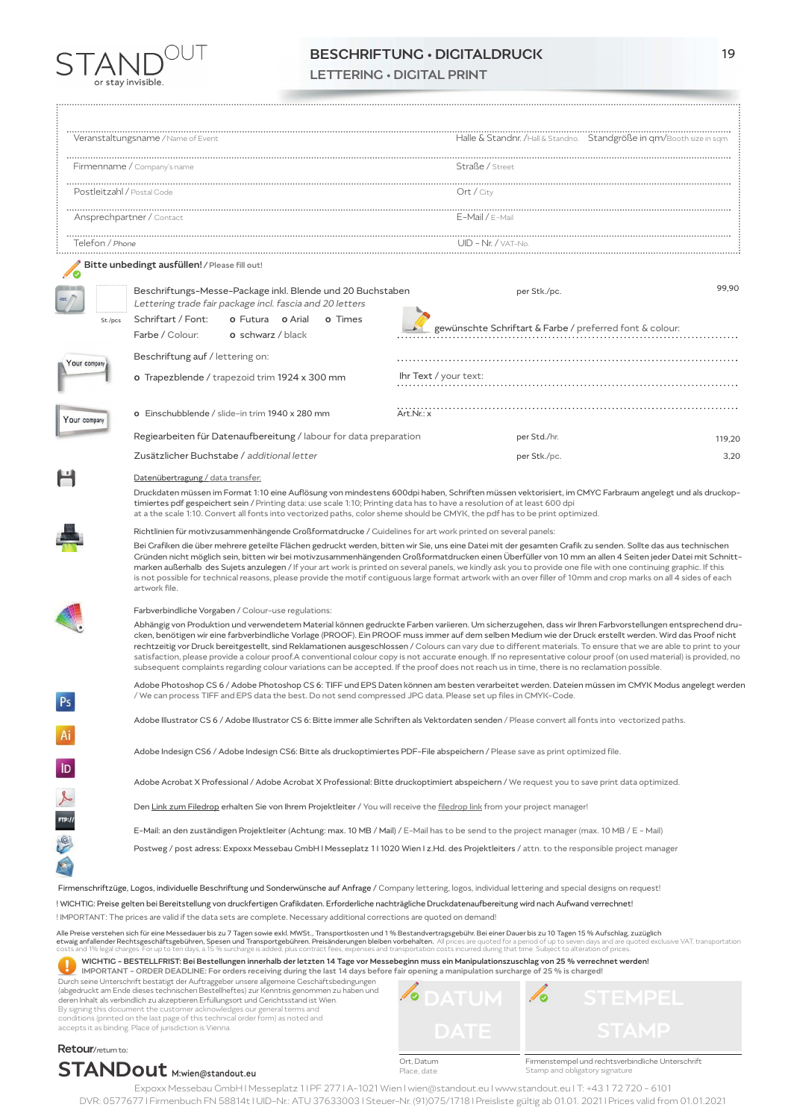

# BESCHRIFTUNG • DIGITALDRUCK 19

LETTERING • DIGITAL PRINT

|                            | Veranstaltungsname / Name of Event                                                                                                                                                                                                                                                                                                                                                                                                                                                                                                                                                                                                                                                                                                                                                                                 | Halle & Standnr. /Hall & Standno. Standgröße in qm/Booth size in sqm                                                                                   |        |  |
|----------------------------|--------------------------------------------------------------------------------------------------------------------------------------------------------------------------------------------------------------------------------------------------------------------------------------------------------------------------------------------------------------------------------------------------------------------------------------------------------------------------------------------------------------------------------------------------------------------------------------------------------------------------------------------------------------------------------------------------------------------------------------------------------------------------------------------------------------------|--------------------------------------------------------------------------------------------------------------------------------------------------------|--------|--|
|                            | Firmenname / Company's name                                                                                                                                                                                                                                                                                                                                                                                                                                                                                                                                                                                                                                                                                                                                                                                        | Straße / Street                                                                                                                                        |        |  |
| Postleitzahl / Postal Code |                                                                                                                                                                                                                                                                                                                                                                                                                                                                                                                                                                                                                                                                                                                                                                                                                    | Ort / City                                                                                                                                             |        |  |
| Ansprechpartner / Contact  |                                                                                                                                                                                                                                                                                                                                                                                                                                                                                                                                                                                                                                                                                                                                                                                                                    | $E$ -Mail / $E$ -Mail                                                                                                                                  |        |  |
| Telefon / Phone            |                                                                                                                                                                                                                                                                                                                                                                                                                                                                                                                                                                                                                                                                                                                                                                                                                    | $UID - Nr. / VAT-No.$                                                                                                                                  |        |  |
|                            | Bitte unbedingt ausfüllen! / Please fill out!                                                                                                                                                                                                                                                                                                                                                                                                                                                                                                                                                                                                                                                                                                                                                                      |                                                                                                                                                        |        |  |
| St./pcs                    | Beschriftungs-Messe-Package inkl. Blende und 20 Buchstaben<br>Lettering trade fair package incl. fascia and 20 letters<br>Schriftart / Font:<br><b>o</b> Futura <b>o</b> Arial<br>o Times                                                                                                                                                                                                                                                                                                                                                                                                                                                                                                                                                                                                                          | per Stk./pc.                                                                                                                                           | 99,90  |  |
|                            | Farbe / Colour:<br><b>o</b> schwarz / black                                                                                                                                                                                                                                                                                                                                                                                                                                                                                                                                                                                                                                                                                                                                                                        | gewünschte Schriftart & Farbe / preferred font & colour:                                                                                               |        |  |
| Your company               | Beschriftung auf / lettering on:                                                                                                                                                                                                                                                                                                                                                                                                                                                                                                                                                                                                                                                                                                                                                                                   |                                                                                                                                                        |        |  |
|                            | o Trapezblende / trapezoid trim 1924 x 300 mm                                                                                                                                                                                                                                                                                                                                                                                                                                                                                                                                                                                                                                                                                                                                                                      | Ihr Text / your text:                                                                                                                                  |        |  |
| Your company               | o Einschubblende / slide-in trim 1940 x 280 mm                                                                                                                                                                                                                                                                                                                                                                                                                                                                                                                                                                                                                                                                                                                                                                     | Art.Nr.: x                                                                                                                                             |        |  |
|                            | Regiearbeiten für Datenaufbereitung / labour for data preparation                                                                                                                                                                                                                                                                                                                                                                                                                                                                                                                                                                                                                                                                                                                                                  | per Std./hr.                                                                                                                                           | 119,20 |  |
|                            | Zusätzlicher Buchstabe / additional letter                                                                                                                                                                                                                                                                                                                                                                                                                                                                                                                                                                                                                                                                                                                                                                         | per Stk./pc.                                                                                                                                           | 3,20   |  |
|                            | Datenübertragung / data transfer:<br>timiertes pdf gespeichert sein / Printing data: use scale 1:10; Printing data has to have a resolution of at least 600 dpi<br>at a the scale 1:10. Convert all fonts into vectorized paths, color sheme should be CMYK, the pdf has to be print optimized.                                                                                                                                                                                                                                                                                                                                                                                                                                                                                                                    | Druckdaten müssen im Format 1:10 eine Auflösung von mindestens 600dpi haben, Schriften müssen vektorisiert, im CMYC Farbraum angelegt und als druckop- |        |  |
|                            | Richtlinien für motivzusammenhängende Großformatdrucke / Guidelines for art work printed on several panels:                                                                                                                                                                                                                                                                                                                                                                                                                                                                                                                                                                                                                                                                                                        |                                                                                                                                                        |        |  |
|                            | Bei Grafiken die über mehrere geteilte Flächen gedruckt werden, bitten wir Sie, uns eine Datei mit der gesamten Grafik zu senden. Sollte das aus technischen<br>Cründen nicht möglich sein, bitten wir bei motivzusammenhängenden Croßformatdrucken einen Überfüller von 10 mm an allen 4 Seiten jeder Datei mit Schnitt-<br>marken außerhalb des Sujets anzulegen / If your art work is printed on several panels, we kindly ask you to provide one file with one continuing graphic. If this<br>is not possible for technical reasons, please provide the motif contiguous large format artwork with an over filler of 10mm and crop marks on all 4 sides of each<br>artwork file.                                                                                                                               |                                                                                                                                                        |        |  |
|                            | Farbverbindliche Vorgaben / Colour-use regulations:                                                                                                                                                                                                                                                                                                                                                                                                                                                                                                                                                                                                                                                                                                                                                                |                                                                                                                                                        |        |  |
|                            | Abhängig von Produktion und verwendetem Material können gedruckte Farben variieren. Um sicherzugehen, dass wir Ihren Farbvorstellungen entsprechend dru-<br>cken, benötigen wir eine farbverbindliche Vorlage (PROOF). Ein PROOF muss immer auf dem selben Medium wie der Druck erstellt werden. Wird das Proof nicht<br>rechtzeitig vor Druck bereitgestellt, sind Reklamationen ausgeschlossen / Colours can vary due to different materials. To ensure that we are able to print to your<br>satisfaction, please provide a colour proof.A conventional colour copy is not accurate enough. If no representative colour proof (on used material) is provided, no<br>subsequent complaints regarding colour variations can be accepted. If the proof does not reach us in time, there is no reclamation possible. |                                                                                                                                                        |        |  |
|                            | / We can process TIFF and EPS data the best. Do not send compressed JPG data. Please set up files in CMYK-Code.                                                                                                                                                                                                                                                                                                                                                                                                                                                                                                                                                                                                                                                                                                    | Adobe Photoshop CS 6 / Adobe Photoshop CS 6: TIFF und EPS Daten können am besten verarbeitet werden. Dateien müssen im CMYK Modus angelegt werden      |        |  |
| Ai                         | Adobe Illustrator CS 6 / Adobe Illustrator CS 6: Bitte immer alle Schriften als Vektordaten senden / Please convert all fonts into vectorized paths.                                                                                                                                                                                                                                                                                                                                                                                                                                                                                                                                                                                                                                                               |                                                                                                                                                        |        |  |
|                            | Adobe Indesign CS6 / Adobe Indesign CS6: Bitte als druckoptimiertes PDF-File abspeichern / Please save as print optimized file.                                                                                                                                                                                                                                                                                                                                                                                                                                                                                                                                                                                                                                                                                    |                                                                                                                                                        |        |  |
| $\overline{1}$             |                                                                                                                                                                                                                                                                                                                                                                                                                                                                                                                                                                                                                                                                                                                                                                                                                    | Adobe Acrobat X Professional / Adobe Acrobat X Professional: Bitte druckoptimiert abspeichern / We request you to save print data optimized.           |        |  |
| $\rightarrow$              | Den Link zum Filedrop erhalten Sie von Ihrem Projektleiter / You will receive the filedrop link from your project manager!                                                                                                                                                                                                                                                                                                                                                                                                                                                                                                                                                                                                                                                                                         |                                                                                                                                                        |        |  |
|                            |                                                                                                                                                                                                                                                                                                                                                                                                                                                                                                                                                                                                                                                                                                                                                                                                                    | E-Mail: an den zuständigen Projektleiter (Achtung: max. 10 MB / Mail) / E-Mail has to be send to the project manager (max. 10 MB / E - Mail)           |        |  |
| FIP://                     |                                                                                                                                                                                                                                                                                                                                                                                                                                                                                                                                                                                                                                                                                                                                                                                                                    | Postweg / post adress: Expoxx Messebau GmbH I Messeplatz 111020 Wien I z.Hd. des Projektleiters / attn. to the responsible project manager             |        |  |
|                            | Firmenschriftzüge, Logos, individuelle Beschriftung und Sonderwünsche auf Anfrage / Company lettering, logos, individual lettering and special designs on request!                                                                                                                                                                                                                                                                                                                                                                                                                                                                                                                                                                                                                                                 |                                                                                                                                                        |        |  |
|                            | ! WICHTIG: Preise gelten bei Bereitstellung von druckfertigen Grafikdaten. Erforderliche nachträgliche Druckdatenaufbereitung wird nach Aufwand verrechnet!<br>!IMPORTANT: The prices are valid if the data sets are complete. Necessary additional corrections are quoted on demand!                                                                                                                                                                                                                                                                                                                                                                                                                                                                                                                              |                                                                                                                                                        |        |  |
|                            | Alle Preise verstehen sich für eine Messedauer bis zu 7 Tagen sowie exkl. MWSt. Transportkosten und 1 % Bestandvertragsgebühr Bei einer Dauer bis zu 10 Tagen 15 % Aufschlag, zuzüglich                                                                                                                                                                                                                                                                                                                                                                                                                                                                                                                                                                                                                            |                                                                                                                                                        |        |  |

All<mark>e Preise verstehen sich für eine Messedauer bis zu 7 Tagen sowie exkl. MWSt., Transportkosten und 1 % Bestandvertragsgebühr. Bei einer Dauer bis zu 10 Tagen 15 % Aufschlag, zuzüglich<br>etwaig anfallender Rechtsgeschäftsg</mark>

WICHTIG - BESTELLFRIST: Bei Bestellungen innerhalb der letzten 14 Tage vor Messebeginn muss ein Manipulationszuschlag von 25 % verrechnet werden! ų IMPORTANT - ORDER DEADLINE: For orders receiving during the last 14 days before fair opening a manipulation surcharge of 25 % is charged!

Durch seine Unterschrift bestätigt der Auftraggeber unsere allgemeine Ceschäftsbedingungen<br>(abgedruckt am Ende dieses technischen Bestellheftes) zur Kenntnis genommen zu haben und<br>deren Inhalt als verbindlich zu akzeptiere By signing this document the customer acknowledges our general terms and<br>conditions (printed on the last page of this technical order form) as noted and<br>accepts it as binding. Place of jurisdiction is Vienna.

#### Retour/return to: STANDout M:wien@standout.eu

Ort, Datum Place, date

Firmenstempel und rechtsverbindliche Unterschrift Stamp and obligatory signature

Expoxx Messebau GmbH I Messeplatz 1 I PF 277 I A-1021 Wien I wien@standout.eu I www.standout.eu I T: +43 1 72 720 - 6101

10

**S** DATUM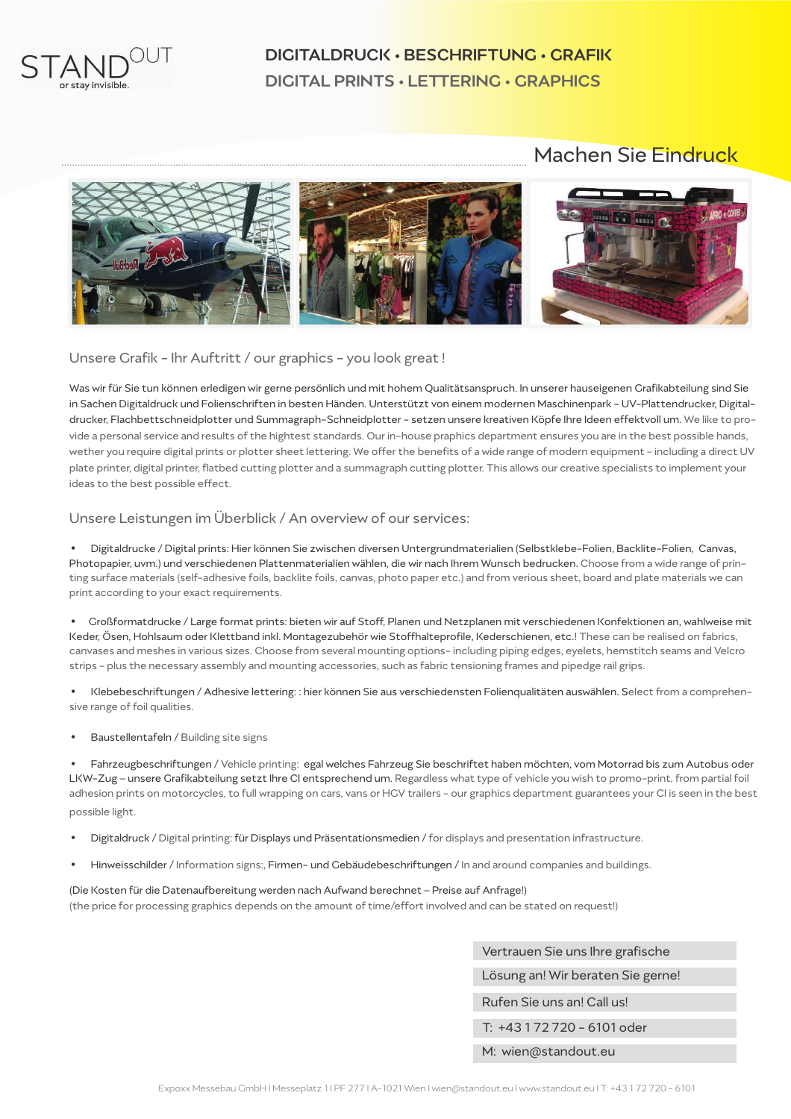

## DIGITALDRUCK • BESCHRIFTUNG • GRAFIK DIGITAL PRINTS • LETTERING • GRAPHICS

## Machen Sie Eindruck



Unsere Grafik - Ihr Auftritt / our graphics - you look great!

Was wir für Sie tun können erledigen wir gerne persönlich und mit hohem Qualitätsanspruch. In unserer hauseigenen Grafikabteilung sind Sie in Sachen Digitaldruck und Folienschriften in besten Händen. Unterstützt von einem modernen Maschinenpark - UV-Plattendrucker, Digitaldrucker, Flachbettschneidplotter und Summagraph-Schneidplotter - setzen unsere kreativen Köpfe Ihre Ideen effektvoll um. We like to provide a personal service and results of the hightest standards. Our in-house praphics department ensures you are in the best possible hands, wether you require digital prints or plotter sheet lettering. We offer the benefits of a wide range of modern equipment - including a direct UV plate printer, digital printer, flatbed cutting plotter and a summagraph cutting plotter. This allows our creative specialists to implement your ideas to the best possible effect.

#### Unsere Leistungen im Überblick / An overview of our services:

**•** Digitaldrucke / Digital prints: Hier können Sie zwischen diversen Untergrundmaterialien (Selbstklebe-Folien, Backlite-Folien, Canvas, Photopapier, uvm.) und verschiedenen Plattenmaterialien wählen, die wir nach Ihrem Wunsch bedrucken. Choose from a wide range of printing surface materials (self-adhesive foils, backlite foils, canvas, photo paper etc.) and from verious sheet, board and plate materials we can print according to your exact requirements.

**•** Großformatdrucke / Large format prints: bieten wir auf Stoff, Planen und Netzplanen mit verschiedenen Konfektionen an, wahlweise mit Keder, Ösen, Hohlsaum oder Klettband inkl. Montagezubehör wie Stoffhalteprofile, Kederschienen, etc.! These can be realised on fabrics, canvases and meshes in various sizes. Choose from several mounting options- including piping edges, eyelets, hemstitch seams and Velcro strips - plus the necessary assembly and mounting accessories, such as fabric tensioning frames and pipedge rail grips.

**•** Klebebeschriftungen / Adhesive lettering: : hier können Sie aus verschiedensten Folienqualitäten auswählen. Select from a comprehensive range of foil qualities.

**•** Baustellentafeln / Building site signs

**•** Fahrzeugbeschriftungen / Vehicle printing: egal welches Fahrzeug Sie beschriftet haben möchten, vom Motorrad bis zum Autobus oder LKW-Zug – unsere Grafikabteilung setzt Ihre CI entsprechend um. Regardless what type of vehicle you wish to promo-print, from partial foil adhesion prints on motorcycles, to full wrapping on cars, vans or HGV trailers - our graphics department guarantees your CI is seen in the best possible light.

- **•** Digitaldruck / Digital printing: für Displays und Präsentationsmedien /for displays and presentation infrastructure.
- **•** Hinweisschilder / Information signs:, Firmen- und Gebäudebeschriftungen / In and around companies and buildings.

(Die Kosten für die Datenaufbereitung werden nach Aufwand berechnet – Preise auf Anfrage!) (the price for processing graphics depends on the amount of time/effort involved and can be stated on request!)

| Vertrauen Sie uns Ihre grafische  |  |  |
|-----------------------------------|--|--|
| Lösung an! Wir beraten Sie gerne! |  |  |
| Rufen Sie uns an! Call us!        |  |  |
| T: +43 1 72 7 20 - 6101 oder      |  |  |
| M: wien@standout.eu               |  |  |